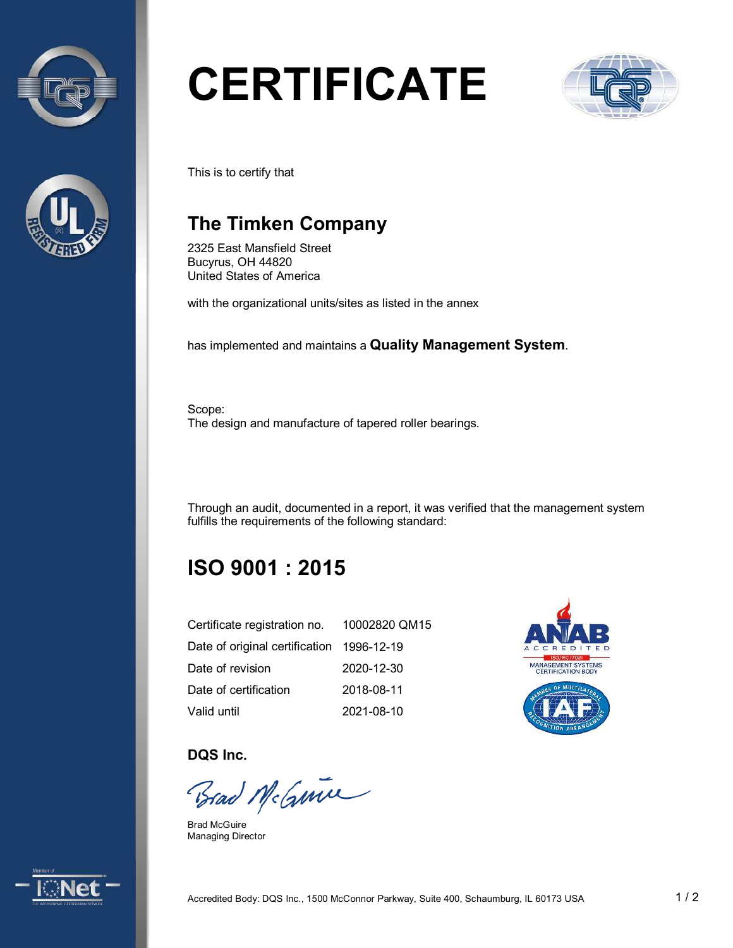



# **CERTIFICATE**



This is to certify that

## **The Timken Company**

2325 East Mansfield Street Bucyrus, OH 44820 United States of America

with the organizational units/sites as listed in the annex

has implemented and maintains a **Quality Management System**.

Scope: The design and manufacture of tapered roller bearings.

Through an audit, documented in a report, it was verified that the management system fulfills the requirements of the following standard:

# **ISO 9001 : 2015**

| Certificate registration no.              | 10002820 QM15 |
|-------------------------------------------|---------------|
| Date of original certification 1996-12-19 |               |
| Date of revision                          | 2020-12-30    |
| Date of certification                     | 2018-08-11    |
| Valid until                               | 2021-08-10    |



**DQS Inc.** 

Brad McGuine

Brad McGuire Managing Director